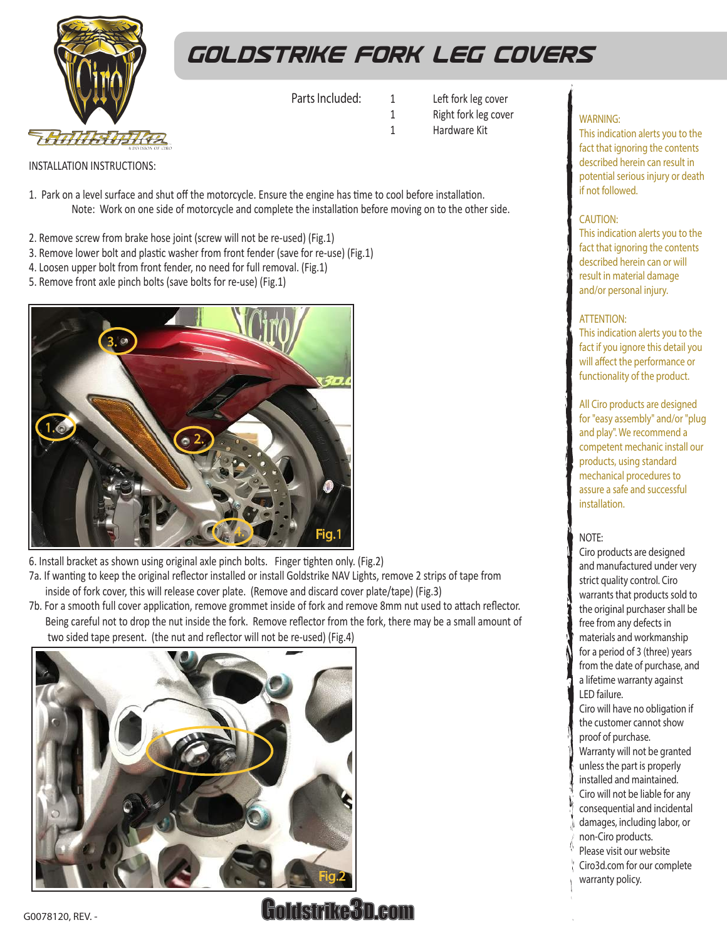

# *goldstrike fork leg covers*

Parts Included:

- 1 Left fork leg cover 1 Right fork leg cover
- 1 Hardware Kit

INSTALLATION INSTRUCTIONS:

- Note: Work on one side of motorcycle and complete the installation before moving on to the other side. 1. Park on a level surface and shut off the motorcycle. Ensure the engine has time to cool before installation.
- 2. Remove screw from brake hose joint (screw will not be re-used) (Fig.1)
- 3. Remove lower bolt and plastic washer from front fender (save for re-use) (Fig.1)
- 4. Loosen upper bolt from front fender, no need for full removal. (Fig.1)
- 5. Remove front axle pinch bolts (save bolts for re-use) (Fig.1)



6. Install bracket as shown using original axle pinch bolts. Finger tighten only. (Fig.2)

- 7a. If wanting to keep the original reflector installed or install Goldstrike NAV Lights, remove 2 strips of tape from inside of fork cover, this will release cover plate. (Remove and discard cover plate/tape) (Fig.3)
- 7b. For a smooth full cover application, remove grommet inside of fork and remove 8mm nut used to attach reflector. Being careful not to drop the nut inside the fork. Remove reflector from the fork, there may be a small amount of two sided tape present. (the nut and reflector will not be re-used) (Fig.4)



### WARNING:

This indication alerts you to the fact that ignoring the contents described herein can result in potential serious injury or death if not followed.

#### CAUTION:

This indication alerts you to the fact that ignoring the contents described herein can or will result in material damage and/or personal injury.

#### ATTENTION:

This indication alerts you to the fact if you ignore this detail you will affect the performance or functionality of the product.

All Ciro products are designed for "easy assembly" and/or "plug and play". We recommend a competent mechanic install our products, using standard mechanical procedures to assure a safe and successful installation.

#### NOTE:

Ciro products are designed and manufactured under very strict quality control. Ciro warrants that products sold to the original purchaser shall be free from any defects in materials and workmanship for a period of 3 (three) years from the date of purchase, and a lifetime warranty against LED failure.

Ciro will have no obligation if the customer cannot show proof of purchase. Warranty will not be granted

- unless the part is properly
- installed and maintained.
- Ciro will not be liable for any
- consequential and incidental
- damages, including labor, or
- non-Ciro products.
- Please visit our website
- Ciro3d.com for our complete warranty policy.

Goldstrike3D.com